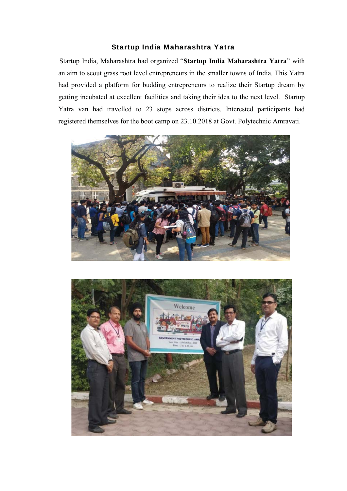## Startup India Maharashtra Yatra

Startup India, Maharashtra had organized "**Startup India Maharashtra Yatra**" with an aim to scout grass root level entrepreneurs in the smaller towns of India. This Yatra had provided a platform for budding entrepreneurs to realize their Startup dream by getting incubated at excellent facilities and taking their idea to the next level. Startup Yatra van had travelled to 23 stops across districts. Interested participants had registered themselves for the boot camp on 23.10.2018 at Govt. Polytechnic Amravati.



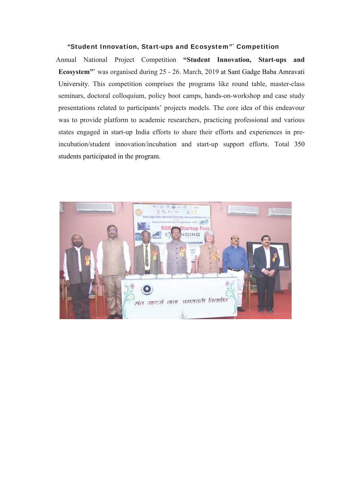## "Student Innovation, Start-ups and Ecosystem"` Competition

Annual National Project Competition **"Student Innovation, Start-ups and Ecosystem"`** was organised during 25 - 26. March, 2019 at Sant Gadge Baba Amravati University. This competition comprises the programs like round table, master-class seminars, doctoral colloquium, policy boot camps, hands-on-workshop and case study presentations related to participants' projects models. The core idea of this endeavour was to provide platform to academic researchers, practicing professional and various states engaged in start-up India efforts to share their efforts and experiences in preincubation/student innovation/incubation and start-up support efforts. Total 350 students participated in the program.

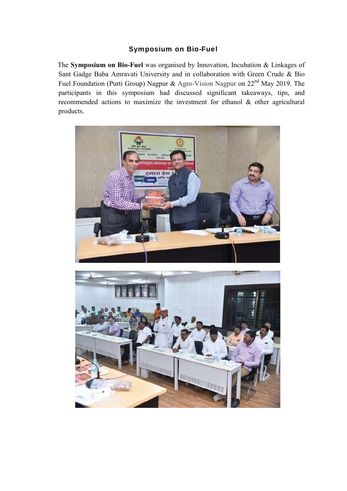## Symposium on Bio-Fuel

The **Symposium on Bio-Fuel** was organised by Innovation, Incubation & Linkages of Sant Gadge Baba Amravati University and in collaboration with Green Crude & Bio Fuel Foundation (Purti Group) Nagpur & Agro-Vision Nagpur on 22nd May 2019. The participants in this symposium had discussed significant takeaways, tips, and recommended actions to maximize the investment for ethanol & other agricultural products.